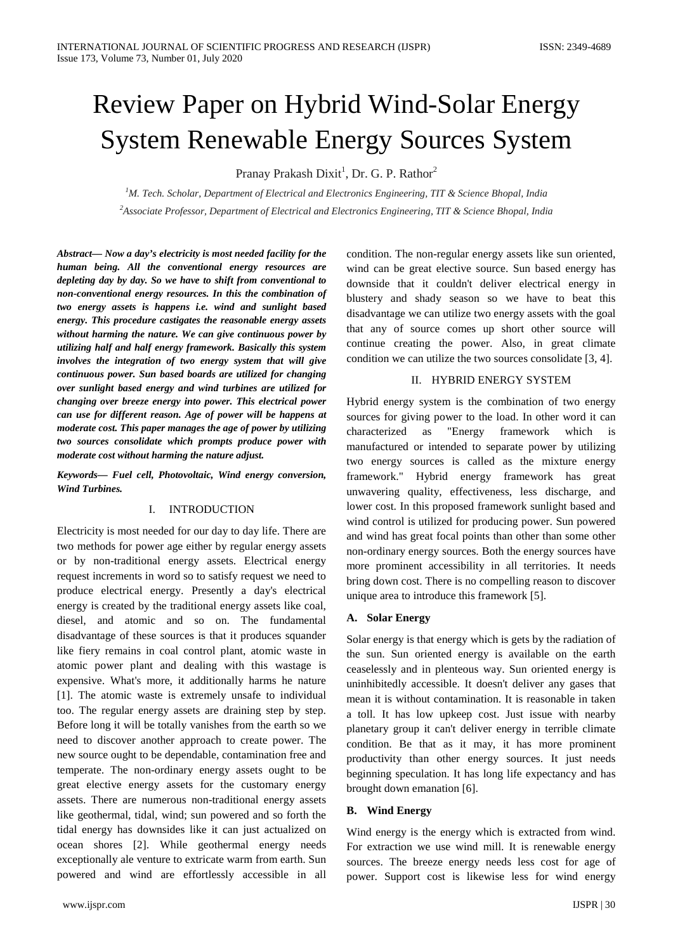# Review Paper on Hybrid Wind-Solar Energy System Renewable Energy Sources System

Pranay Prakash Dixit<sup>1</sup>, Dr. G. P. Rathor<sup>2</sup>

*1 M. Tech. Scholar, Department of Electrical and Electronics Engineering, TIT & Science Bhopal, India 2 Associate Professor, Department of Electrical and Electronics Engineering, TIT & Science Bhopal, India*

*Abstract— Now a day's electricity is most needed facility for the human being. All the conventional energy resources are depleting day by day. So we have to shift from conventional to non-conventional energy resources. In this the combination of two energy assets is happens i.e. wind and sunlight based energy. This procedure castigates the reasonable energy assets without harming the nature. We can give continuous power by utilizing half and half energy framework. Basically this system involves the integration of two energy system that will give continuous power. Sun based boards are utilized for changing over sunlight based energy and wind turbines are utilized for changing over breeze energy into power. This electrical power can use for different reason. Age of power will be happens at moderate cost. This paper manages the age of power by utilizing two sources consolidate which prompts produce power with moderate cost without harming the nature adjust.*

*Keywords— Fuel cell, Photovoltaic, Wind energy conversion, Wind Turbines.*

#### I. INTRODUCTION

Electricity is most needed for our day to day life. There are two methods for power age either by regular energy assets or by non-traditional energy assets. Electrical energy request increments in word so to satisfy request we need to produce electrical energy. Presently a day's electrical energy is created by the traditional energy assets like coal, diesel, and atomic and so on. The fundamental disadvantage of these sources is that it produces squander like fiery remains in coal control plant, atomic waste in atomic power plant and dealing with this wastage is expensive. What's more, it additionally harms he nature [1]. The atomic waste is extremely unsafe to individual too. The regular energy assets are draining step by step. Before long it will be totally vanishes from the earth so we need to discover another approach to create power. The new source ought to be dependable, contamination free and temperate. The non-ordinary energy assets ought to be great elective energy assets for the customary energy assets. There are numerous non-traditional energy assets like geothermal, tidal, wind; sun powered and so forth the tidal energy has downsides like it can just actualized on ocean shores [2]. While geothermal energy needs exceptionally ale venture to extricate warm from earth. Sun powered and wind are effortlessly accessible in all condition. The non-regular energy assets like sun oriented, wind can be great elective source. Sun based energy has downside that it couldn't deliver electrical energy in blustery and shady season so we have to beat this disadvantage we can utilize two energy assets with the goal that any of source comes up short other source will continue creating the power. Also, in great climate condition we can utilize the two sources consolidate [3, 4].

# II. HYBRID ENERGY SYSTEM

Hybrid energy system is the combination of two energy sources for giving power to the load. In other word it can characterized as "Energy framework which is manufactured or intended to separate power by utilizing two energy sources is called as the mixture energy framework." Hybrid energy framework has great unwavering quality, effectiveness, less discharge, and lower cost. In this proposed framework sunlight based and wind control is utilized for producing power. Sun powered and wind has great focal points than other than some other non-ordinary energy sources. Both the energy sources have more prominent accessibility in all territories. It needs bring down cost. There is no compelling reason to discover unique area to introduce this framework [5].

#### **A. Solar Energy**

Solar energy is that energy which is gets by the radiation of the sun. Sun oriented energy is available on the earth ceaselessly and in plenteous way. Sun oriented energy is uninhibitedly accessible. It doesn't deliver any gases that mean it is without contamination. It is reasonable in taken a toll. It has low upkeep cost. Just issue with nearby planetary group it can't deliver energy in terrible climate condition. Be that as it may, it has more prominent productivity than other energy sources. It just needs beginning speculation. It has long life expectancy and has brought down emanation [6].

#### **B. Wind Energy**

Wind energy is the energy which is extracted from wind. For extraction we use wind mill. It is renewable energy sources. The breeze energy needs less cost for age of power. Support cost is likewise less for wind energy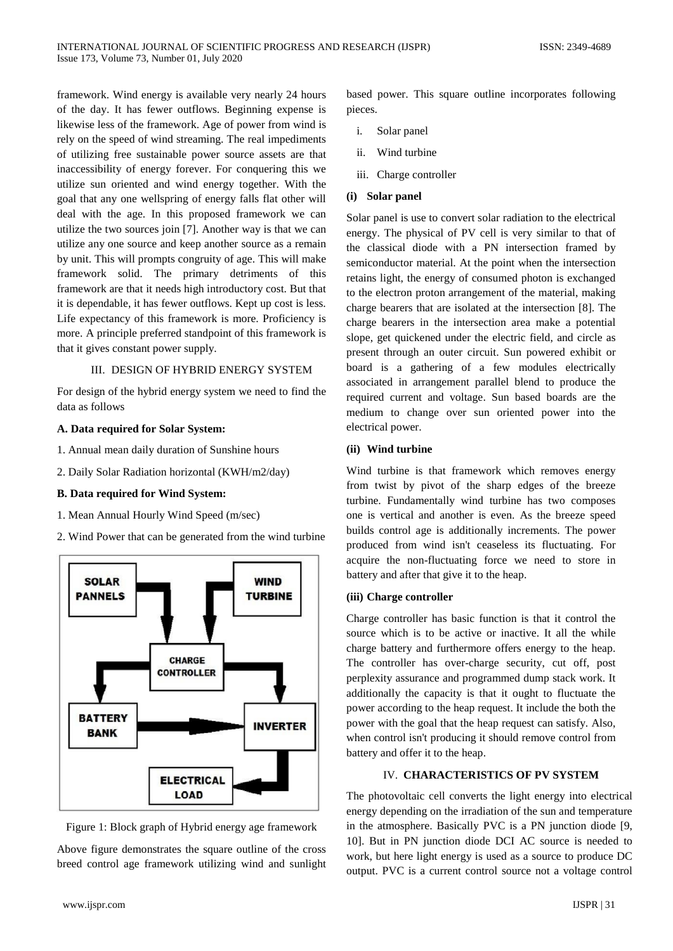framework. Wind energy is available very nearly 24 hours of the day. It has fewer outflows. Beginning expense is likewise less of the framework. Age of power from wind is rely on the speed of wind streaming. The real impediments of utilizing free sustainable power source assets are that inaccessibility of energy forever. For conquering this we utilize sun oriented and wind energy together. With the goal that any one wellspring of energy falls flat other will deal with the age. In this proposed framework we can utilize the two sources join [7]. Another way is that we can utilize any one source and keep another source as a remain by unit. This will prompts congruity of age. This will make framework solid. The primary detriments of this framework are that it needs high introductory cost. But that it is dependable, it has fewer outflows. Kept up cost is less. Life expectancy of this framework is more. Proficiency is more. A principle preferred standpoint of this framework is that it gives constant power supply.

# III. DESIGN OF HYBRID ENERGY SYSTEM

For design of the hybrid energy system we need to find the data as follows

# **A. Data required for Solar System:**

- 1. Annual mean daily duration of Sunshine hours
- 2. Daily Solar Radiation horizontal (KWH/m2/day)

# **B. Data required for Wind System:**

- 1. Mean Annual Hourly Wind Speed (m/sec)
- 2. Wind Power that can be generated from the wind turbine



Figure 1: Block graph of Hybrid energy age framework

Above figure demonstrates the square outline of the cross breed control age framework utilizing wind and sunlight

based power. This square outline incorporates following pieces.

- i. Solar panel
- ii. Wind turbine
- iii. Charge controller

# **(i) Solar panel**

Solar panel is use to convert solar radiation to the electrical energy. The physical of PV cell is very similar to that of the classical diode with a PN intersection framed by semiconductor material. At the point when the intersection retains light, the energy of consumed photon is exchanged to the electron proton arrangement of the material, making charge bearers that are isolated at the intersection [8]. The charge bearers in the intersection area make a potential slope, get quickened under the electric field, and circle as present through an outer circuit. Sun powered exhibit or board is a gathering of a few modules electrically associated in arrangement parallel blend to produce the required current and voltage. Sun based boards are the medium to change over sun oriented power into the electrical power.

# **(ii) Wind turbine**

Wind turbine is that framework which removes energy from twist by pivot of the sharp edges of the breeze turbine. Fundamentally wind turbine has two composes one is vertical and another is even. As the breeze speed builds control age is additionally increments. The power produced from wind isn't ceaseless its fluctuating. For acquire the non-fluctuating force we need to store in battery and after that give it to the heap.

# **(iii) Charge controller**

Charge controller has basic function is that it control the source which is to be active or inactive. It all the while charge battery and furthermore offers energy to the heap. The controller has over-charge security, cut off, post perplexity assurance and programmed dump stack work. It additionally the capacity is that it ought to fluctuate the power according to the heap request. It include the both the power with the goal that the heap request can satisfy. Also, when control isn't producing it should remove control from battery and offer it to the heap.

# IV. **CHARACTERISTICS OF PV SYSTEM**

The photovoltaic cell converts the light energy into electrical energy depending on the irradiation of the sun and temperature in the atmosphere. Basically PVC is a PN junction diode [9, 10]. But in PN junction diode DCI AC source is needed to work, but here light energy is used as a source to produce DC output. PVC is a current control source not a voltage control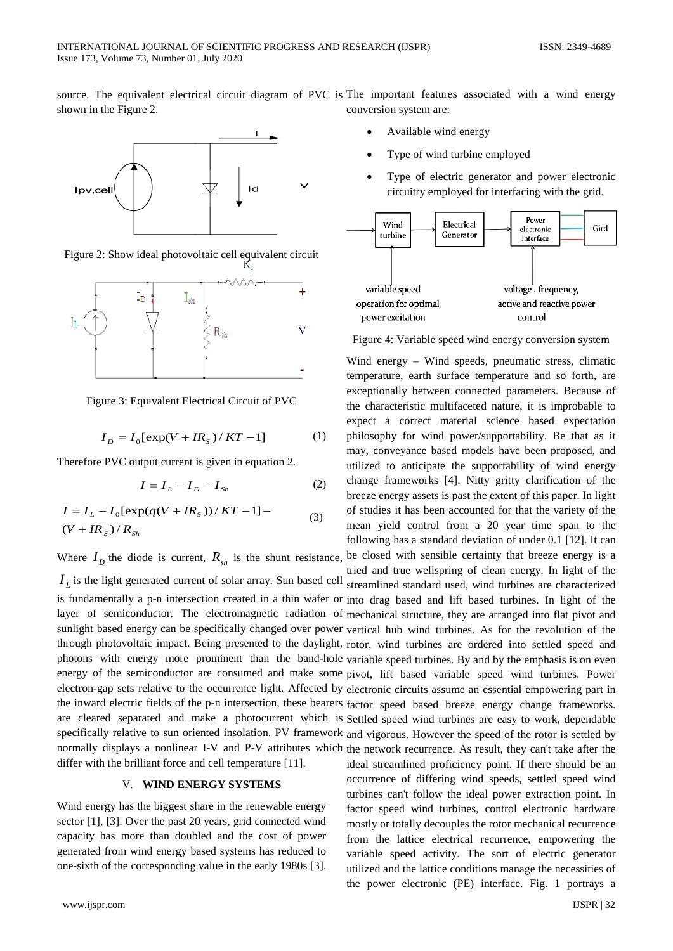source. The equivalent electrical circuit diagram of PVC is The important features associated with a wind energy shown in the Figure 2.



Figure 2: Show ideal photovoltaic cell equivalent circuit



Figure 3: Equivalent Electrical Circuit of PVC

$$
I_D = I_0[\exp(V + IR_s)/KT - 1]
$$
 (1)

Therefore PVC output current is given in equation 2.

$$
I = I_L - I_D - I_{Sh} \tag{2}
$$

$$
I = I_L - I_0[\exp(q(V + IR_s))/KT - 1] -
$$
  
(*V* + IR<sub>s</sub>) / R<sub>Sh</sub> (3)

Where  $I_D$  the diode is current,  $R_{sh}$  is the shunt resistance,

 $I_L$  is the light generated current of solar array. Sun based cell streamlined standard used, wind turbines are characterized is fundamentally a p-n intersection created in a thin wafer or into drag based and lift based turbines. In light of the layer of semiconductor. The electromagnetic radiation of mechanical structure, they are arranged into flat pivot and sunlight based energy can be specifically changed over power vertical hub wind turbines. As for the revolution of the through photovoltaic impact. Being presented to the daylight, rotor, wind turbines are ordered into settled speed and photons with energy more prominent than the band-hole variable speed turbines. By and by the emphasis is on even energy of the semiconductor are consumed and make some pivot, lift based variable speed wind turbines. Power electron-gap sets relative to the occurrence light. Affected by electronic circuits assume an essential empowering part in the inward electric fields of the p-n intersection, these bearers factor speed based breeze energy change frameworks. are cleared separated and make a photocurrent which is Settled speed wind turbines are easy to work, dependable specifically relative to sun oriented insolation. PV framework and vigorous. However the speed of the rotor is settled by normally displays a nonlinear I-V and P-V attributes which the network recurrence. As result, they can't take after the differ with the brilliant force and cell temperature [11].

# V. **WIND ENERGY SYSTEMS**

Wind energy has the biggest share in the renewable energy sector [1], [3]. Over the past 20 years, grid connected wind capacity has more than doubled and the cost of power generated from wind energy based systems has reduced to one-sixth of the corresponding value in the early 1980s [3].

conversion system are:

- Available wind energy
- Type of wind turbine employed
- Type of electric generator and power electronic circuitry employed for interfacing with the grid.



Figure 4: Variable speed wind energy conversion system

Wind energy – Wind speeds, pneumatic stress, climatic temperature, earth surface temperature and so forth, are exceptionally between connected parameters. Because of the characteristic multifaceted nature, it is improbable to expect a correct material science based expectation philosophy for wind power/supportability. Be that as it may, conveyance based models have been proposed, and utilized to anticipate the supportability of wind energy change frameworks [4]. Nitty gritty clarification of the breeze energy assets is past the extent of this paper. In light of studies it has been accounted for that the variety of the mean yield control from a 20 year time span to the following has a standard deviation of under 0.1 [12]. It can

be closed with sensible certainty that breeze energy is a tried and true wellspring of clean energy. In light of the ideal streamlined proficiency point. If there should be an occurrence of differing wind speeds, settled speed wind turbines can't follow the ideal power extraction point. In factor speed wind turbines, control electronic hardware mostly or totally decouples the rotor mechanical recurrence from the lattice electrical recurrence, empowering the variable speed activity. The sort of electric generator utilized and the lattice conditions manage the necessities of the power electronic (PE) interface. Fig. 1 portrays a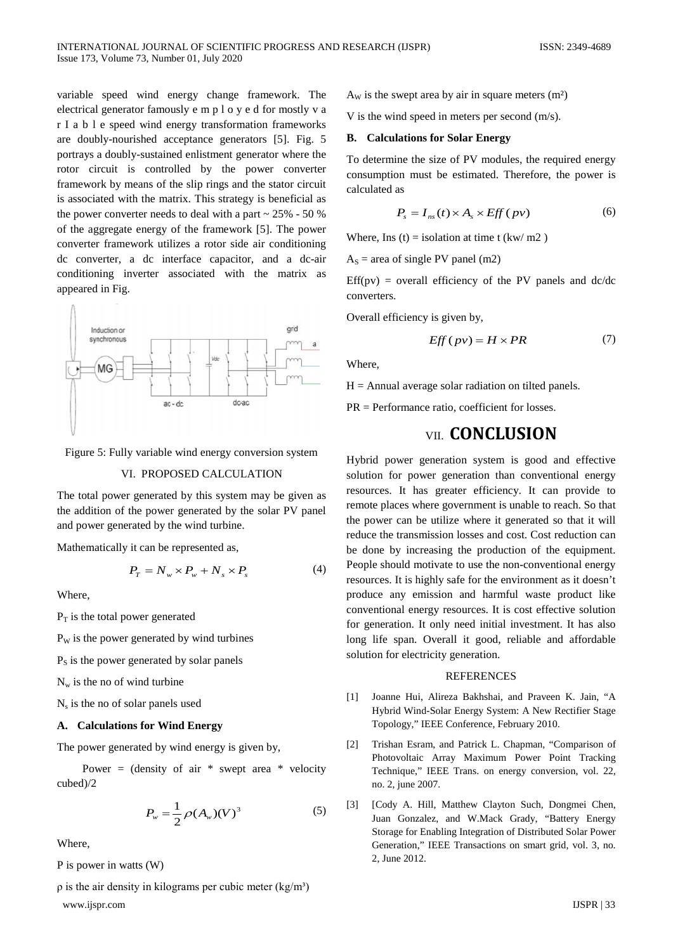variable speed wind energy change framework. The electrical generator famously e m p l o y e d for mostly v a r I a b l e speed wind energy transformation frameworks are doubly-nourished acceptance generators [5]. Fig. 5 portrays a doubly-sustained enlistment generator where the rotor circuit is controlled by the power converter framework by means of the slip rings and the stator circuit is associated with the matrix. This strategy is beneficial as the power converter needs to deal with a part  $\sim$  25% - 50 % of the aggregate energy of the framework [5]. The power converter framework utilizes a rotor side air conditioning dc converter, a dc interface capacitor, and a dc-air conditioning inverter associated with the matrix as appeared in Fig.



Figure 5: Fully variable wind energy conversion system

#### VI. PROPOSED CALCULATION

The total power generated by this system may be given as the addition of the power generated by the solar PV panel and power generated by the wind turbine.

Mathematically it can be represented as,

$$
P_T = N_w \times P_w + N_s \times P_s \tag{4}
$$

Where,

 $P_T$  is the total power generated

 $P<sub>w</sub>$  is the power generated by wind turbines

 $P<sub>S</sub>$  is the power generated by solar panels

 $N_w$  is the no of wind turbine

N<sub>s</sub> is the no of solar panels used

#### **A. Calculations for Wind Energy**

The power generated by wind energy is given by,

Power = (density of air  $*$  swept area  $*$  velocity cubed)/2

$$
P_w = \frac{1}{2} \rho(A_w)(V)^3
$$
 (5)

Where,

P is power in watts (W)

 $\rho$  is the air density in kilograms per cubic meter (kg/m<sup>3</sup>) www.ijspr.com IJSPR | 33

 $A<sub>w</sub>$  is the swept area by air in square meters  $(m<sup>2</sup>)$ 

V is the wind speed in meters per second (m/s).

#### **B. Calculations for Solar Energy**

To determine the size of PV modules, the required energy consumption must be estimated. Therefore, the power is calculated as

$$
P_s = I_{ns}(t) \times A_s \times Eff(pv) \tag{6}
$$

Where, Ins (t) = isolation at time t (kw/ m2)

 $A<sub>S</sub>$  = area of single PV panel (m2)

 $Eff(pv) = overall efficiency of the PV panels and dc/dc$ converters.

Overall efficiency is given by,

$$
Eff(pv) = H \times PR \tag{7}
$$

Where,

 $H =$  Annual average solar radiation on tilted panels.

PR = Performance ratio, coefficient for losses.

# VII. **CONCLUSION**

Hybrid power generation system is good and effective solution for power generation than conventional energy resources. It has greater efficiency. It can provide to remote places where government is unable to reach. So that the power can be utilize where it generated so that it will reduce the transmission losses and cost. Cost reduction can be done by increasing the production of the equipment. People should motivate to use the non-conventional energy resources. It is highly safe for the environment as it doesn't produce any emission and harmful waste product like conventional energy resources. It is cost effective solution for generation. It only need initial investment. It has also long life span. Overall it good, reliable and affordable solution for electricity generation.

#### **REFERENCES**

- [1] Joanne Hui, Alireza Bakhshai, and Praveen K. Jain, "A Hybrid Wind-Solar Energy System: A New Rectifier Stage Topology," IEEE Conference, February 2010.
- [2] Trishan Esram, and Patrick L. Chapman, "Comparison of Photovoltaic Array Maximum Power Point Tracking Technique," IEEE Trans. on energy conversion, vol. 22, no. 2, june 2007.
- [3] [Cody A. Hill, Matthew Clayton Such, Dongmei Chen, Juan Gonzalez, and W.Mack Grady, "Battery Energy Storage for Enabling Integration of Distributed Solar Power Generation," IEEE Transactions on smart grid, vol. 3, no. 2, June 2012.